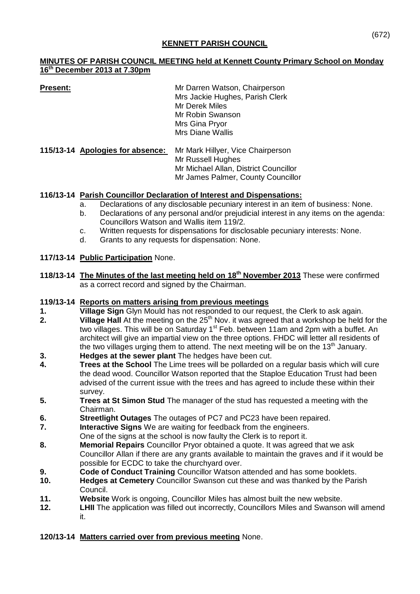### **MINUTES OF PARISH COUNCIL MEETING held at Kennett County Primary School on Monday 16 th December 2013 at 7.30pm**

| Present: | Mr Darren Watson, Chairperson   |
|----------|---------------------------------|
|          | Mrs Jackie Hughes, Parish Clerk |
|          | Mr Derek Miles                  |
|          | Mr Robin Swanson                |
|          | Mrs Gina Pryor                  |
|          | <b>Mrs Diane Wallis</b>         |
|          |                                 |

**115/13-14 Apologies for absence:** Mr Mark Hillyer, Vice Chairperson Mr Russell Hughes Mr Michael Allan, District Councillor Mr James Palmer, County Councillor

# **116/13-14 Parish Councillor Declaration of Interest and Dispensations:**

- a. Declarations of any disclosable pecuniary interest in an item of business: None.
- b. Declarations of any personal and/or prejudicial interest in any items on the agenda: Councillors Watson and Wallis item 119/2.
- c. Written requests for dispensations for disclosable pecuniary interests: None.
- d. Grants to any requests for dispensation: None.

# **117/13-14 Public Participation** None.

**118/13-14 The Minutes of the last meeting held on 18th November 2013** These were confirmed as a correct record and signed by the Chairman.

# **119/13-14 Reports on matters arising from previous meetings**

- 
- **1. Village Sign** Glyn Mould has not responded to our request, the Clerk to ask again.<br>**2. Village Hall** At the meeting on the 25<sup>th</sup> Nov. it was agreed that a workshop be held **2. 2. 2. 2. Village Hall** At the meeting on the 25<sup>th</sup> Nov. it was agreed that a workshop be held for the two villages. This will be on Saturday 1<sup>st</sup> Feb. between 11am and 2pm with a buffet. An architect will give an impartial view on the three options. FHDC will letter all residents of the two villages urging them to attend. The next meeting will be on the 13<sup>th</sup> January.
- **3. Hedges at the sewer plant** The hedges have been cut.
- **4. Trees at the School** The Lime trees will be pollarded on a regular basis which will cure the dead wood. Councillor Watson reported that the Staploe Education Trust had been advised of the current issue with the trees and has agreed to include these within their survey.
- **5. Trees at St Simon Stud** The manager of the stud has requested a meeting with the Chairman.
- **6. Streetlight Outages** The outages of PC7 and PC23 have been repaired.
- **7. Interactive Signs** We are waiting for feedback from the engineers.
- One of the signs at the school is now faulty the Clerk is to report it.
- **8. Memorial Repairs** Councillor Pryor obtained a quote. It was agreed that we ask Councillor Allan if there are any grants available to maintain the graves and if it would be possible for ECDC to take the churchyard over.
- **9. Code of Conduct Training** Councillor Watson attended and has some booklets.<br>**10. Hedaes at Cemetery** Councillor Swanson cut these and was thanked by the Pari
- **Hedges at Cemetery** Councillor Swanson cut these and was thanked by the Parish Council.
- **11. Website** Work is ongoing, Councillor Miles has almost built the new website.
- **12. LHII** The application was filled out incorrectly, Councillors Miles and Swanson will amend it.

# **120/13-14 Matters carried over from previous meeting** None.